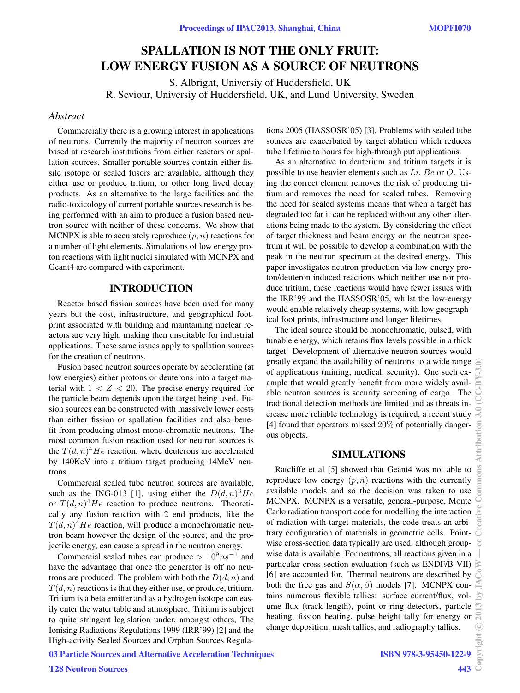# SPALLATION IS NOT THE ONLY FRUIT: LOW ENERGY FUSION AS A SOURCE OF NEUTRONS

S. Albright, Universiy of Huddersfield, UK R. Seviour, Universiy of Huddersfield, UK, and Lund University, Sweden

### *Abstract*

Commercially there is a growing interest in applications of neutrons. Currently the majority of neutron sources are based at research institutions from either reactors or spallation sources. Smaller portable sources contain either fissile isotope or sealed fusors are available, although they either use or produce tritium, or other long lived decay products. As an alternative to the large facilities and the radio-toxicology of current portable sources research is being performed with an aim to produce a fusion based neutron source with neither of these concerns. We show that MCNPX is able to accurately reproduce  $(p, n)$  reactions for a number of light elements. Simulations of low energy proton reactions with light nuclei simulated with MCNPX and Geant4 are compared with experiment.

## INTRODUCTION

Reactor based fission sources have been used for many years but the cost, infrastructure, and geographical footprint associated with building and maintaining nuclear reactors are very high, making then unsuitable for industrial applications. These same issues apply to spallation sources for the creation of neutrons.

Fusion based neutron sources operate by accelerating (at low energies) either protons or deuterons into a target material with  $1 < Z < 20$ . The precise energy required for the particle beam depends upon the target being used. Fusion sources can be constructed with massively lower costs than either fission or spallation facilities and also benefit from producing almost mono-chromatic neutrons. The most common fusion reaction used for neutron sources is the  $T(d, n)^4$  *He* reaction, where deuterons are accelerated by 140KeV into a tritium target producing 14MeV neutrons.

Commercial sealed tube neutron sources are available, such as the ING-013 [1], using either the  $D(d, n)^3He$ or  $T(d, n)^4He$  reaction to produce neutrons. Theoretically any fusion reaction with 2 end products, like the  $T(d, n)^4$ He reaction, will produce a monochromatic neutron beam however the design of the source, and the projectile energy, can cause a spread in the neutron energy.

Commercial sealed tubes can produce >  $10^9$ ns<sup>-1</sup> and have the advantage that once the generator is off no neutrons are produced. The problem with both the  $D(d, n)$  and  $T(d, n)$  reactions is that they either use, or produce, tritium. Tritium is a beta emitter and as a hydrogen isotope can easily enter the water table and atmosphere. Tritium is subject to quite stringent legislation under, amongst others, The Ionising Radiations Regulations 1999 (IRR'99) [2] and the High-activity Sealed Sources and Orphan Sources Regulations 2005 (HASSOSR'05) [3]. Problems with sealed tube sources are exacerbated by target ablation which reduces tube lifetime to hours for high-through put applications.

As an alternative to deuterium and tritium targets it is possible to use heavier elements such as  $Li$ ,  $Be$  or  $O$ . Using the correct element removes the risk of producing tritium and removes the need for sealed tubes. Removing the need for sealed systems means that when a target has degraded too far it can be replaced without any other alterations being made to the system. By considering the effect of target thickness and beam energy on the neutron spectrum it will be possible to develop a combination with the peak in the neutron spectrum at the desired energy. This paper investigates neutron production via low energy proton/deuteron induced reactions which neither use nor produce tritium, these reactions would have fewer issues with the IRR'99 and the HASSOSR'05, whilst the low-energy would enable relatively cheap systems, with low geographical foot prints, infrastructure and longer lifetimes.

The ideal source should be monochromatic, pulsed, with tunable energy, which retains flux levels possible in a thick target. Development of alternative neutron sources would greatly expand the availability of neutrons to a wide range  $\epsilon$ of applications (mining, medical, security). One such example that would greatly benefit from more widely available neutron sources is security screening of cargo. The traditional detection methods are limited and as threats increase more reliable technology is required, a recent study [4] found that operators missed 20% of potentially dangerous objects.

## SIMULATIONS

Ratcliffe et al [5] showed that Geant4 was not able to reproduce low energy  $(p, n)$  reactions with the currently available models and so the decision was taken to use MCNPX. MCNPX is a versatile, general-purpose, Monte Carlo radiation transport code for modelling the interaction of radiation with target materials, the code treats an arbitrary configuration of materials in geometric cells. Pointwise cross-section data typically are used, although groupwise data is available. For neutrons, all reactions given in a particular cross-section evaluation (such as ENDF/B-VII) [6] are accounted for. Thermal neutrons are described by  $\circlearrowright$ both the free gas and  $S(\alpha, \beta)$  models [7]. MCNPX contains numerous flexible tallies: surface current/flux, volume flux (track length), point or ring detectors, particle heating, fission heating, pulse height tally for energy or charge deposition, mesh tallies, and radiography tallies.

03 Particle Sources and Alternative Acceleration Techniques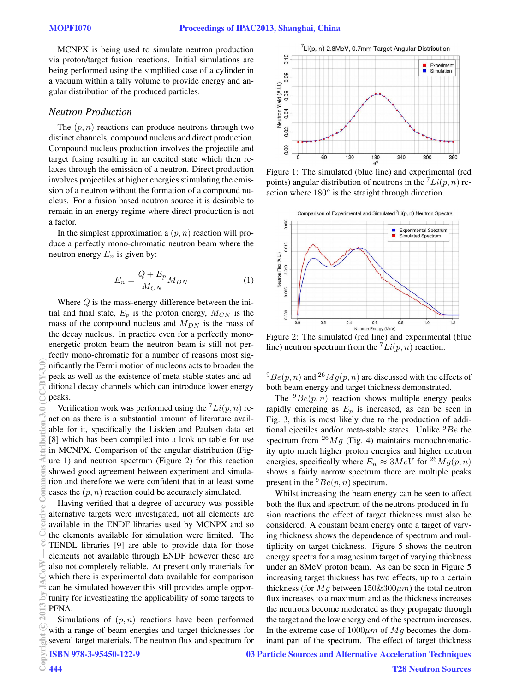$0.10$ 

MCNPX is being used to simulate neutron production via proton/target fusion reactions. Initial simulations are being performed using the simplified case of a cylinder in a vacuum within a tally volume to provide energy and angular distribution of the produced particles.

# *Neutron Production*

The  $(p, n)$  reactions can produce neutrons through two distinct channels, compound nucleus and direct production. Compound nucleus production involves the projectile and target fusing resulting in an excited state which then relaxes through the emission of a neutron. Direct production involves projectiles at higher energies stimulating the emission of a neutron without the formation of a compound nucleus. For a fusion based neutron source it is desirable to remain in an energy regime where direct production is not a factor.

In the simplest approximation a  $(p, n)$  reaction will produce a perfectly mono-chromatic neutron beam where the neutron energy  $E_n$  is given by:

$$
E_n = \frac{Q + E_p}{M_{CN}} M_{DN} \tag{1}
$$

Where  $Q$  is the mass-energy difference between the initial and final state,  $E_p$  is the proton energy,  $M_{CN}$  is the mass of the compound nucleus and  $M_{DN}$  is the mass of the decay nucleus. In practice even for a perfectly monoenergetic proton beam the neutron beam is still not perfectly mono-chromatic for a number of reasons most significantly the Fermi motion of nucleons acts to broaden the peak as well as the existence of meta-stable states and additional decay channels which can introduce lower energy peaks.

Verification work was performed using the  $^{7}Li(p, n)$  reaction as there is a substantial amount of literature available for it, specifically the Liskien and Paulsen data set [8] which has been compiled into a look up table for use in MCNPX. Comparison of the angular distribution (Figure 1) and neutron spectrum (Figure 2) for this reaction showed good agreement between experiment and simulation and therefore we were confident that in at least some cases the  $(p, n)$  reaction could be accurately simulated.

Having verified that a degree of accuracy was possible alternative targets were investigated, not all elements are available in the ENDF libraries used by MCNPX and so the elements available for simulation were limited. The TENDL libraries [9] are able to provide data for those elements not available through ENDF however these are also not completely reliable. At present only materials for which there is experimental data available for comparison can be simulated however this still provides ample opportunity for investigating the applicability of some targets to PFNA.

Simulations of  $(p, n)$  reactions have been performed with a range of beam energies and target thicknesses for several target materials. The neutron flux and spectrum for



 ${}^{7}$ Li(p, n) 2.8MeV, 0.7mm Target Angular Distribution

Experiment



Figure 2: The simulated (red line) and experimental (blue line) neutron spectrum from the  $^{7}Li(p, n)$  reaction.

 $^{9}Be(p, n)$  and  $^{26}Mg(p, n)$  are discussed with the effects of both beam energy and target thickness demonstrated.

The  ${}^{9}Be(p, n)$  reaction shows multiple energy peaks rapidly emerging as  $E_p$  is increased, as can be seen in Fig. 3, this is most likely due to the production of additional ejectiles and/or meta-stable states. Unlike  ${}^{9}Be$  the spectrum from  $^{26}Mg$  (Fig. 4) maintains monochromaticity upto much higher proton energies and higher neutron energies, specifically where  $E_n \approx 3MeV$  for <sup>26</sup> $Mg(p, n)$ shows a fairly narrow spectrum there are multiple peaks present in the  ${}^{9}Be(p, n)$  spectrum.

Whilst increasing the beam energy can be seen to affect both the flux and spectrum of the neutrons produced in fusion reactions the effect of target thickness must also be considered. A constant beam energy onto a target of varying thickness shows the dependence of spectrum and multiplicity on target thickness. Figure 5 shows the neutron energy spectra for a magnesium target of varying thickness under an 8MeV proton beam. As can be seen in Figure 5 increasing target thickness has two effects, up to a certain thickness (for  $Mg$  between  $150\&300\mu m$ ) the total neutron flux increases to a maximum and as the thickness increases the neutrons become moderated as they propagate through the target and the low energy end of the spectrum increases. In the extreme case of  $1000 \mu m$  of  $Mg$  becomes the dominant part of the spectrum. The effect of target thickness

03 Particle Sources and Alternative Acceleration Techniques